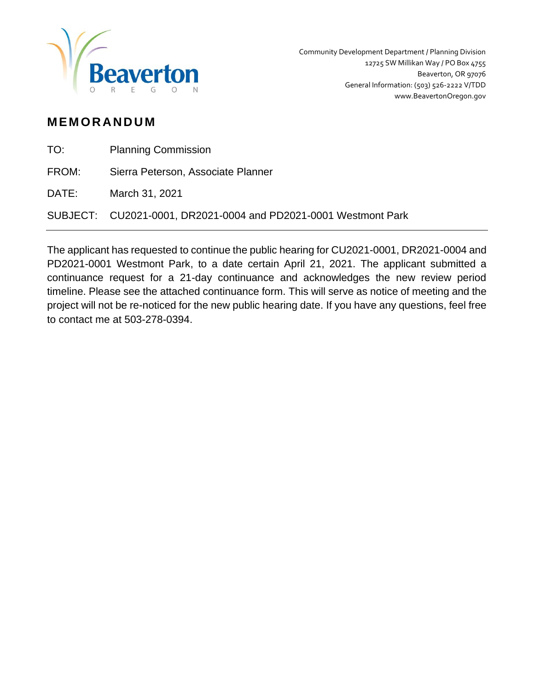

## **M EM OR AN D U M**

| TO: | <b>Planning Commission</b> |
|-----|----------------------------|
|     |                            |

FROM: Sierra Peterson, Associate Planner

DATE: March 31, 2021

SUBJECT: CU2021-0001, DR2021-0004 and PD2021-0001 Westmont Park

The applicant has requested to continue the public hearing for CU2021-0001, DR2021-0004 and PD2021-0001 Westmont Park, to a date certain April 21, 2021. The applicant submitted a continuance request for a 21-day continuance and acknowledges the new review period timeline. Please see the attached continuance form. This will serve as notice of meeting and the project will not be re-noticed for the new public hearing date. If you have any questions, feel free to contact me at 503-278-0394.